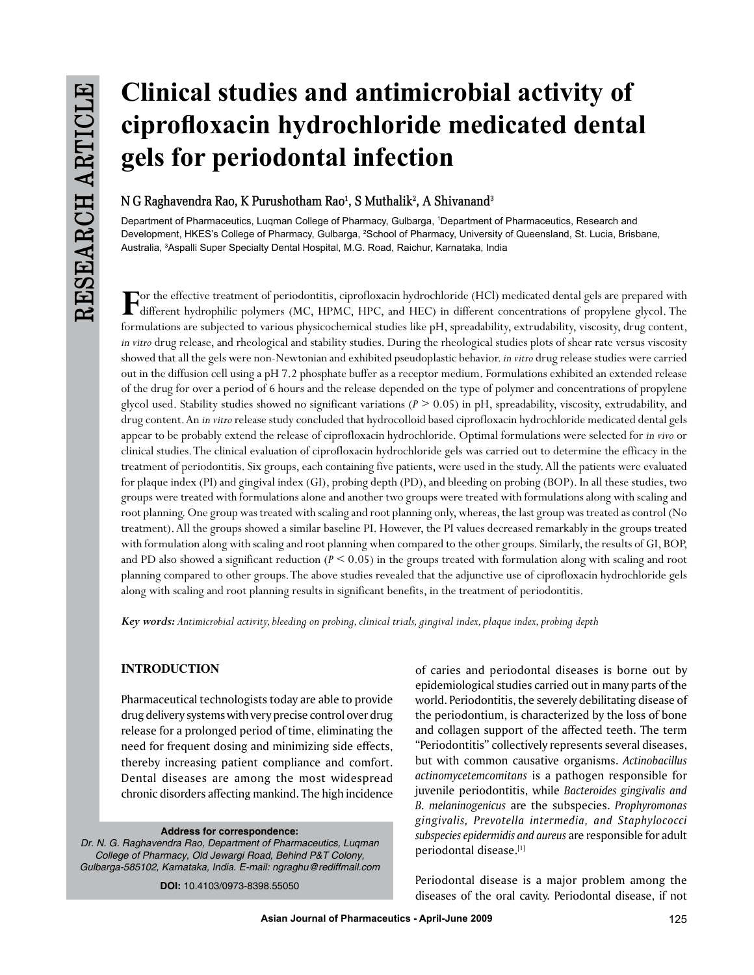# **Clinical studies and antimicrobial activity of ciprofloxacin hydrochloride medicated dental gels for periodontal infection**

# $N$  G Raghavendra Rao, K Purushotham Rao<sup>1</sup>, S Muthalik<sup>2</sup>, A Shivanand<sup>3</sup>

Department of Pharmaceutics, Luqman College of Pharmacy, Gulbarga, <sup>1</sup> Department of Pharmaceutics, Research and Development, HKES's College of Pharmacy, Gulbarga, <sup>2</sup>School of Pharmacy, University of Queensland, St. Lucia, Brisbane, Australia, 3 Aspalli Super Specialty Dental Hospital, M.G. Road, Raichur, Karnataka, India

For the effective treatment of periodontitis, ciprofloxacin hydrochloride (HCl) medicated dental gels are prepared with<br>different hydrophilic polymers (MC, HPMC, HPC, and HEC) in different concentrations of propylene glyco formulations are subjected to various physicochemical studies like pH, spreadability, extrudability, viscosity, drug content, *in vitro* drug release, and rheological and stability studies. During the rheological studies plots of shear rate versus viscosity showed that all the gels were non-Newtonian and exhibited pseudoplastic behavior. *in vitro* drug release studies were carried out in the diffusion cell using a pH 7.2 phosphate buffer as a receptor medium. Formulations exhibited an extended release of the drug for over a period of 6 hours and the release depended on the type of polymer and concentrations of propylene glycol used. Stability studies showed no significant variations (*P* > 0.05) in pH, spreadability, viscosity, extrudability, and drug content. An *in vitro* release study concluded that hydrocolloid based ciprofloxacin hydrochloride medicated dental gels appear to be probably extend the release of ciprofloxacin hydrochloride. Optimal formulations were selected for *in vivo* or clinical studies. The clinical evaluation of ciprofloxacin hydrochloride gels was carried out to determine the efficacy in the treatment of periodontitis. Six groups, each containing five patients, were used in the study. All the patients were evaluated for plaque index (PI) and gingival index (GI), probing depth (PD), and bleeding on probing (BOP). In all these studies, two groups were treated with formulations alone and another two groups were treated with formulations along with scaling and root planning. One group was treated with scaling and root planning only, whereas, the last group was treated as control (No treatment). All the groups showed a similar baseline PI. However, the PI values decreased remarkably in the groups treated with formulation along with scaling and root planning when compared to the other groups. Similarly, the results of GI, BOP, and PD also showed a significant reduction ( $P < 0.05$ ) in the groups treated with formulation along with scaling and root planning compared to other groups. The above studies revealed that the adjunctive use of ciprofloxacin hydrochloride gels along with scaling and root planning results in significant benefits, in the treatment of periodontitis.

*Key words: Antimicrobial activity, bleeding on probing, clinical trials, gingival index, plaque index, probing depth*

# **INTRODUCTION**

Pharmaceutical technologists today are able to provide drug delivery systems with very precise control over drug release for a prolonged period of time, eliminating the need for frequent dosing and minimizing side effects, thereby increasing patient compliance and comfort. Dental diseases are among the most widespread chronic disorders affecting mankind. The high incidence

**Address for correspondence:**

*Dr. N. G. Raghavendra Rao, Department of Pharmaceutics, Luqman College of Pharmacy, Old Jewargi Road, Behind P&T Colony, Gulbarga-585102, Karnataka, India. E-mail: ngraghu@rediffmail.com*

**DOI:** 10.4103/0973-8398.55050

of caries and periodontal diseases is borne out by epidemiological studies carried out in many parts of the world. Periodontitis, the severely debilitating disease of the periodontium, is characterized by the loss of bone and collagen support of the affected teeth. The term "Periodontitis" collectively represents several diseases, but with common causative organisms. *Actinobacillus actinomycetemcomitans* is a pathogen responsible for juvenile periodontitis, while *Bacteroides gingivalis and B. melaninogenicus* are the subspecies. *Prophyromonas gingivalis, Prevotella intermedia, and Staphylococci subspeciesepidermidis and aureus* are responsible for adult periodontal disease.[1]

Periodontal disease is a major problem among the diseases of the oral cavity. Periodontal disease, if not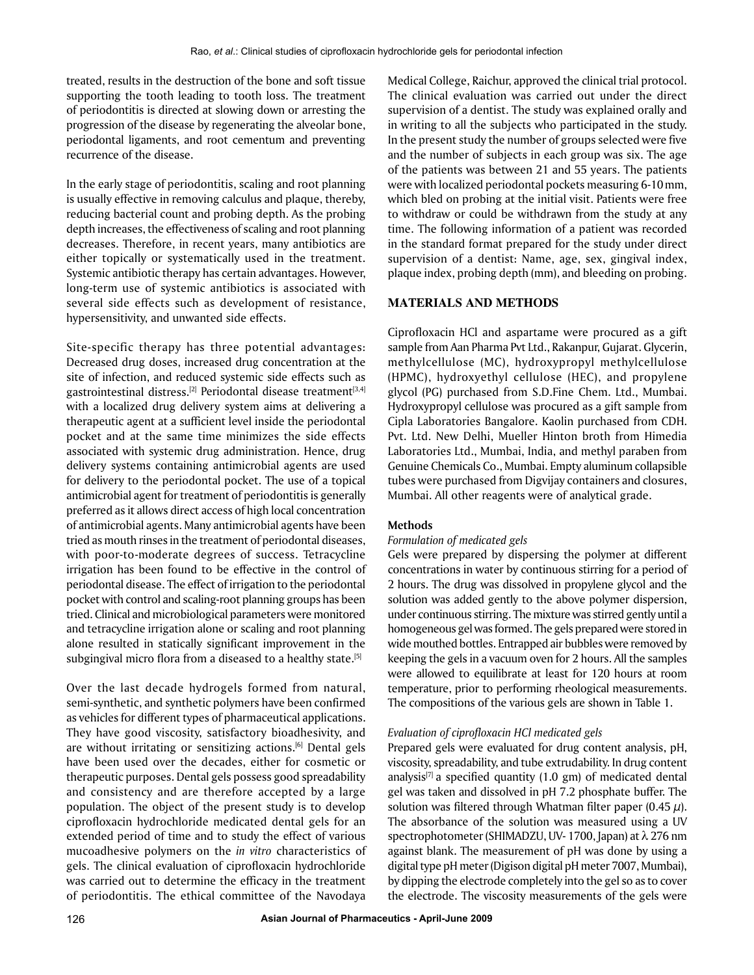treated, results in the destruction of the bone and soft tissue supporting the tooth leading to tooth loss. The treatment of periodontitis is directed at slowing down or arresting the progression of the disease by regenerating the alveolar bone, periodontal ligaments, and root cementum and preventing recurrence of the disease.

In the early stage of periodontitis, scaling and root planning is usually effective in removing calculus and plaque, thereby, reducing bacterial count and probing depth. As the probing depth increases, the effectiveness of scaling and root planning decreases. Therefore, in recent years, many antibiotics are either topically or systematically used in the treatment. Systemic antibiotic therapy has certain advantages. However, long-term use of systemic antibiotics is associated with several side effects such as development of resistance, hypersensitivity, and unwanted side effects.

Site-specific therapy has three potential advantages: Decreased drug doses, increased drug concentration at the site of infection, and reduced systemic side effects such as gastrointestinal distress.<sup>[2]</sup> Periodontal disease treatment<sup>[3,4]</sup> with a localized drug delivery system aims at delivering a therapeutic agent at a sufficient level inside the periodontal pocket and at the same time minimizes the side effects associated with systemic drug administration. Hence, drug delivery systems containing antimicrobial agents are used for delivery to the periodontal pocket. The use of a topical antimicrobial agent for treatment of periodontitis is generally preferred as it allows direct access of high local concentration of antimicrobial agents. Many antimicrobial agents have been tried as mouth rinses in the treatment of periodontal diseases, with poor-to-moderate degrees of success. Tetracycline irrigation has been found to be effective in the control of periodontal disease. The effect of irrigation to the periodontal pocket with control and scaling-root planning groups has been tried. Clinical and microbiological parameters were monitored and tetracycline irrigation alone or scaling and root planning alone resulted in statically significant improvement in the subgingival micro flora from a diseased to a healthy state.<sup>[5]</sup>

Over the last decade hydrogels formed from natural, semi-synthetic, and synthetic polymers have been confirmed as vehicles for different types of pharmaceutical applications. They have good viscosity, satisfactory bioadhesivity, and are without irritating or sensitizing actions.<sup>[6]</sup> Dental gels have been used over the decades, either for cosmetic or therapeutic purposes. Dental gels possess good spreadability and consistency and are therefore accepted by a large population. The object of the present study is to develop ciprofloxacin hydrochloride medicated dental gels for an extended period of time and to study the effect of various mucoadhesive polymers on the *in vitro* characteristics of gels. The clinical evaluation of ciprofloxacin hydrochloride was carried out to determine the efficacy in the treatment of periodontitis. The ethical committee of the Navodaya

Medical College, Raichur, approved the clinical trial protocol. The clinical evaluation was carried out under the direct supervision of a dentist. The study was explained orally and in writing to all the subjects who participated in the study. In the present study the number of groups selected were five and the number of subjects in each group was six. The age of the patients was between 21 and 55 years. The patients were with localized periodontal pockets measuring 6-10mm, which bled on probing at the initial visit. Patients were free to withdraw or could be withdrawn from the study at any time. The following information of a patient was recorded in the standard format prepared for the study under direct supervision of a dentist: Name, age, sex, gingival index, plaque index, probing depth (mm), and bleeding on probing.

# **MATERIALS AND METHODS**

Ciprofloxacin HCl and aspartame were procured as a gift sample from Aan Pharma Pvt Ltd., Rakanpur, Gujarat. Glycerin, methylcellulose (MC), hydroxypropyl methylcellulose (HPMC), hydroxyethyl cellulose (HEC), and propylene glycol (PG) purchased from S.D.Fine Chem. Ltd., Mumbai. Hydroxypropyl cellulose was procured as a gift sample from Cipla Laboratories Bangalore. Kaolin purchased from CDH. Pvt. Ltd. New Delhi, Mueller Hinton broth from Himedia Laboratories Ltd., Mumbai, India, and methyl paraben from Genuine Chemicals Co., Mumbai. Empty aluminum collapsible tubes were purchased from Digvijay containers and closures, Mumbai. All other reagents were of analytical grade.

#### **Methods**

#### *Formulation of medicated gels*

Gels were prepared by dispersing the polymer at different concentrations in water by continuous stirring for a period of 2 hours. The drug was dissolved in propylene glycol and the solution was added gently to the above polymer dispersion, under continuous stirring. The mixture was stirred gently until a homogeneous gel was formed. The gels prepared were stored in wide mouthed bottles. Entrapped air bubbles were removed by keeping the gels in a vacuum oven for 2 hours. All the samples were allowed to equilibrate at least for 120 hours at room temperature, prior to performing rheological measurements. The compositions of the various gels are shown in Table 1.

#### *Evaluation of ciprofloxacin HCl medicated gels*

Prepared gels were evaluated for drug content analysis, pH, viscosity, spreadability, and tube extrudability. In drug content analysis<sup>[7]</sup> a specified quantity  $(1.0 \text{ gm})$  of medicated dental gel was taken and dissolved in pH 7.2 phosphate buffer. The solution was filtered through Whatman filter paper (0.45  $\mu$ ). The absorbance of the solution was measured using a UV spectrophotometer (SHIMADZU, UV- 1700, Japan) at λ 276 nm against blank. The measurement of pH was done by using a digital type pH meter (Digison digital pH meter 7007, Mumbai), by dipping the electrode completely into the gel so as to cover the electrode. The viscosity measurements of the gels were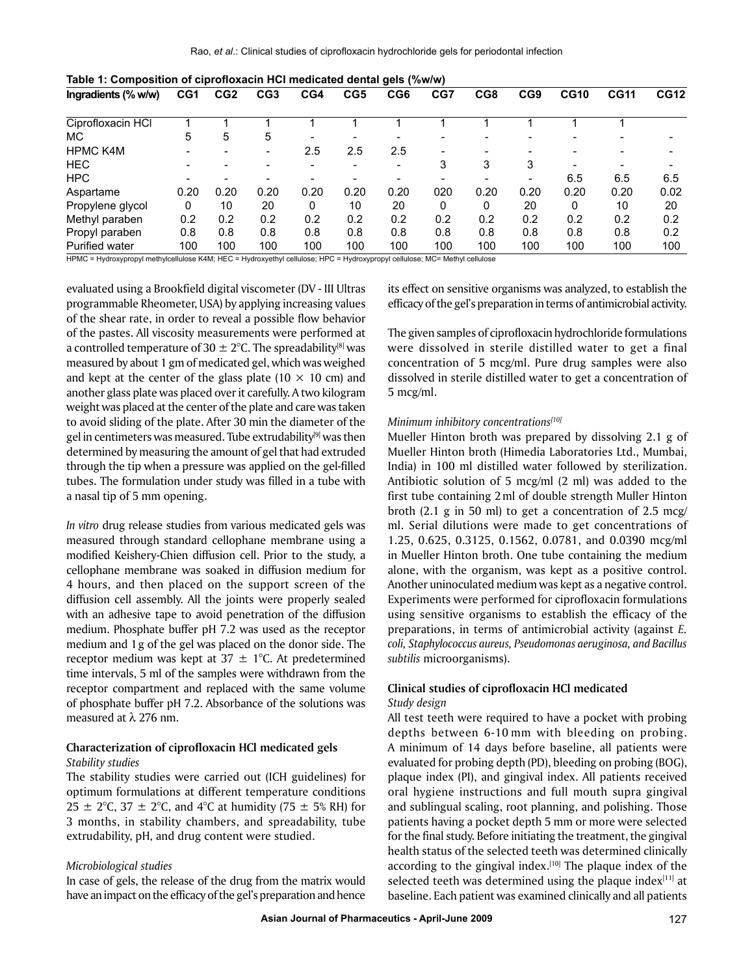| Ingradients (% w/w) | CG <sub>1</sub> | CG2  | CG <sub>3</sub> | CG4  | CG5  | CG <sub>6</sub> | CG7 | CG8  | CG <sub>9</sub> | <b>CG10</b> | <b>CG11</b> | <b>CG12</b> |
|---------------------|-----------------|------|-----------------|------|------|-----------------|-----|------|-----------------|-------------|-------------|-------------|
| Ciprofloxacin HCI   |                 |      |                 |      |      |                 |     |      |                 |             |             |             |
| МC                  | 5               | 5    | 5               |      |      |                 |     |      |                 |             |             |             |
| <b>HPMC K4M</b>     |                 |      | -               | 2.5  | 2.5  | 2.5             |     |      |                 |             |             |             |
| <b>HEC</b>          |                 |      |                 |      |      |                 | 3   | 3    | 3               |             |             |             |
| <b>HPC</b>          |                 |      |                 |      |      |                 |     |      |                 | 6.5         | 6.5         | 6.5         |
| Aspartame           | 0.20            | 0.20 | 0.20            | 0.20 | 0.20 | 0.20            | 020 | 0.20 | 0.20            | 0.20        | 0.20        | 0.02        |
| Propylene glycol    | 0               | 10   | 20              | 0    | 10   | 20              | 0   | 0    | 20              | 0           | 10          | 20          |
| Methyl paraben      | 0.2             | 0.2  | 0.2             | 0.2  | 0.2  | 0.2             | 0.2 | 0.2  | 0.2             | 0.2         | 0.2         | 0.2         |
| Propyl paraben      | 0.8             | 0.8  | 0.8             | 0.8  | 0.8  | 0.8             | 0.8 | 0.8  | 0.8             | 0.8         | 0.8         | 0.2         |
| Purified water      | 100             | 100  | 100             | 100  | 100  | 100             | 100 | 100  | 100             | 100         | 100         | 100         |

|  |  | Table 1: Composition of ciprofloxacin HCI medicated dental gels (%w/w) |
|--|--|------------------------------------------------------------------------|
|  |  |                                                                        |

HPMC = Hydroxypropyl methylcellulose K4M; HEC = Hydroxyethyl cellulose; HPC = Hydroxypropyl cellulose; MC= Methyl cellulose

evaluated using a Brookfield digital viscometer (DV - III Ultras programmable Rheometer, USA) by applying increasing values of the shear rate, in order to reveal a possible flow behavior of the pastes. All viscosity measurements were performed at a controlled temperature of 30  $\pm$  2°C. The spreadability<sup>[8]</sup> was measured by about 1 gm of medicated gel, which was weighed and kept at the center of the glass plate (10  $\times$  10 cm) and another glass plate was placed over it carefully. A two kilogram weight was placed at the center of the plate and care was taken to avoid sliding of the plate. After 30 min the diameter of the gel in centimeters was measured. Tube extrudability<sup>[9]</sup> was then determined by measuring the amount of gel that had extruded through the tip when a pressure was applied on the gel-filled tubes. The formulation under study was filled in a tube with a nasal tip of 5 mm opening.

*in vitro* drug release studies from various medicated gels was measured through standard cellophane membrane using a modified Keishery-Chien diffusion cell. Prior to the study, a cellophane membrane was soaked in diffusion medium for 4 hours, and then placed on the support screen of the diffusion cell assembly. All the joints were properly sealed with an adhesive tape to avoid penetration of the diffusion medium. Phosphate buffer pH 7.2 was used as the receptor medium and 1g of the gel was placed on the donor side. The receptor medium was kept at  $37 \pm 1^{\circ}$ C. At predetermined time intervals, 5 ml of the samples were withdrawn from the receptor compartment and replaced with the same volume of phosphate buffer pH 7.2. Absorbance of the solutions was measured at λ 276 nm.

# **Characterization of ciprofloxacin HCl medicated gels** *Stability studies*

The stability studies were carried out (ICH guidelines) for optimum formulations at different temperature conditions 25  $\pm$  2°C, 37  $\pm$  2°C, and 4°C at humidity (75  $\pm$  5% RH) for 3 months, in stability chambers, and spreadability, tube extrudability, pH, and drug content were studied.

## *Microbiological studies*

In case of gels, the release of the drug from the matrix would have an impact on the efficacy of the gel's preparation and hence its effect on sensitive organisms was analyzed, to establish the efficacy of the gel's preparation in terms of antimicrobial activity.

The given samples of ciprofloxacin hydrochloride formulations were dissolved in sterile distilled water to get a final concentration of 5 mcg/ml. Pure drug samples were also dissolved in sterile distilled water to get a concentration of 5 mcg/ml.

#### *Minimum inhibitory concentrations<sup>[10]</sup>*

Mueller Hinton broth was prepared by dissolving 2.1 g of Mueller Hinton broth (Himedia Laboratories Ltd., Mumbai, India) in 100 ml distilled water followed by sterilization. Antibiotic solution of 5 mcg/ml (2 ml) was added to the first tube containing 2ml of double strength Muller Hinton broth (2.1 g in 50 ml) to get a concentration of 2.5 mcg/ ml. Serial dilutions were made to get concentrations of 1.25, 0.625, 0.3125, 0.1562, 0.0781, and 0.0390 mcg/ml in Mueller Hinton broth. One tube containing the medium alone, with the organism, was kept as a positive control. Another uninoculated medium was kept as a negative control. Experiments were performed for ciprofloxacin formulations using sensitive organisms to establish the efficacy of the preparations, in terms of antimicrobial activity (against *E. coli, Staphylococcus aureus, Pseudomonas aeruginosa, and Bacillus subtilis* microorganisms).

# **Clinical studies of ciprofloxacin HCl medicated** *Study design*

All test teeth were required to have a pocket with probing depths between 6-10 mm with bleeding on probing. A minimum of 14 days before baseline, all patients were evaluated for probing depth (PD), bleeding on probing (BOG), plaque index (PI), and gingival index. All patients received oral hygiene instructions and full mouth supra gingival and sublingual scaling, root planning, and polishing. Those patients having a pocket depth 5 mm or more were selected for the final study. Before initiating the treatment, the gingival health status of the selected teeth was determined clinically according to the gingival index.[10] The plaque index of the selected teeth was determined using the plaque index $[11]$  at baseline. Each patient was examined clinically and all patients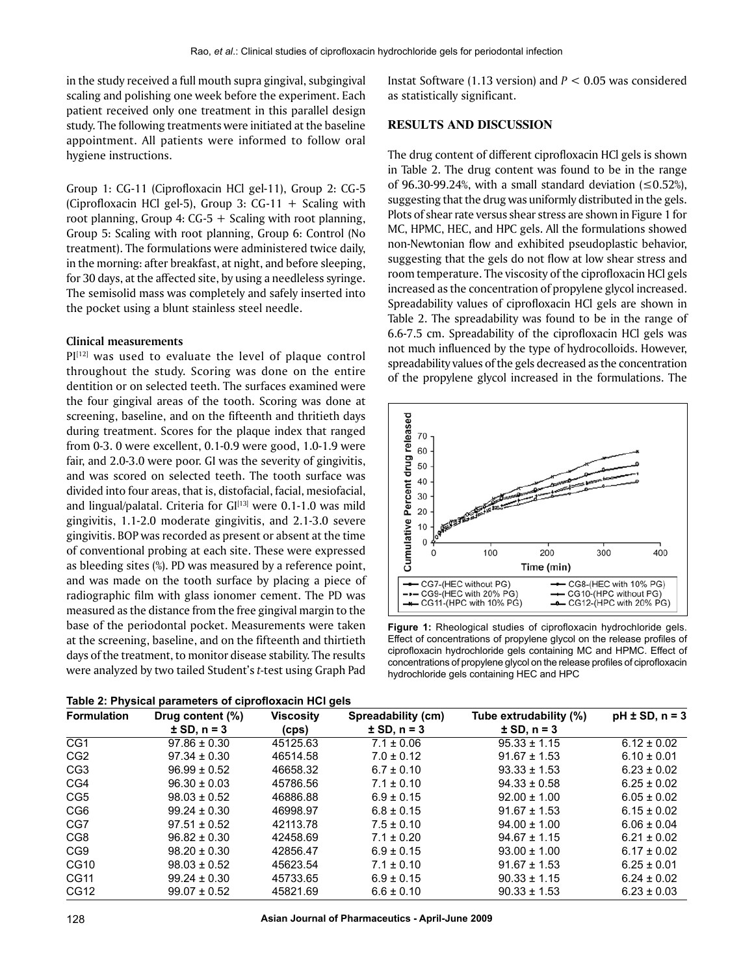in the study received a full mouth supra gingival, subgingival scaling and polishing one week before the experiment. Each patient received only one treatment in this parallel design study. The following treatments were initiated at the baseline appointment. All patients were informed to follow oral hygiene instructions.

Group 1: CG-11 (Ciprofloxacin HCl gel-11), Group 2: CG-5 (Ciprofloxacin HCl gel-5), Group 3:  $CG-11 + Scaling$  with root planning, Group 4:  $CG-5 + Scaling$  with root planning, Group 5: Scaling with root planning, Group 6: Control (No treatment). The formulations were administered twice daily, in the morning: after breakfast, at night, and before sleeping, for 30 days, at the affected site, by using a needleless syringe. The semisolid mass was completely and safely inserted into the pocket using a blunt stainless steel needle.

## **Clinical measurements**

PI<a>[12]</a> was used to evaluate the level of plaque control throughout the study. Scoring was done on the entire dentition or on selected teeth. The surfaces examined were the four gingival areas of the tooth. Scoring was done at screening, baseline, and on the fifteenth and thritieth days during treatment. Scores for the plaque index that ranged from 0-3. 0 were excellent, 0.1-0.9 were good, 1.0-1.9 were fair, and 2.0-3.0 were poor. GI was the severity of gingivitis, and was scored on selected teeth. The tooth surface was divided into four areas, that is, distofacial, facial, mesiofacial, and lingual/palatal. Criteria for  $GI^{[13]}$  were 0.1-1.0 was mild gingivitis, 1.1-2.0 moderate gingivitis, and 2.1-3.0 severe gingivitis. BOP was recorded as present or absent at the time of conventional probing at each site. These were expressed as bleeding sites (%). PD was measured by a reference point, and was made on the tooth surface by placing a piece of radiographic film with glass ionomer cement. The PD was measured as the distance from the free gingival margin to the base of the periodontal pocket. Measurements were taken at the screening, baseline, and on the fifteenth and thirtieth days of the treatment, to monitor disease stability. The results were analyzed by two tailed Student's *t-*test using Graph Pad

| Table 2: Physical parameters of ciprofloxacin HCI gels |  |  |  |
|--------------------------------------------------------|--|--|--|
|--------------------------------------------------------|--|--|--|

Instat Software (1.13 version) and *P* < 0.05 was considered as statistically significant.

# **RESULTS AND DISCUSSION**

The drug content of different ciprofloxacin HCl gels is shown in Table 2. The drug content was found to be in the range of 96.30-99.24%, with a small standard deviation ( $\leq$ 0.52%), suggesting that the drug was uniformly distributed in the gels. Plots of shear rate versus shear stress are shown in Figure 1 for MC, HPMC, HEC, and HPC gels. All the formulations showed non-Newtonian flow and exhibited pseudoplastic behavior, suggesting that the gels do not flow at low shear stress and room temperature. The viscosity of the ciprofloxacin HCl gels increased as the concentration of propylene glycol increased. Spreadability values of ciprofloxacin HCl gels are shown in Table 2. The spreadability was found to be in the range of 6.6-7.5 cm. Spreadability of the ciprofloxacin HCl gels was not much influenced by the type of hydrocolloids. However, spreadability values of the gels decreased as the concentration of the propylene glycol increased in the formulations. The



**Figure 1:** Rheological studies of ciprofloxacin hydrochloride gels. Effect of concentrations of propylene glycol on the release profiles of ciprofloxacin hydrochloride gels containing MC and HPMC. Effect of concentrations of propylene glycol on the release profiles of ciprofloxacin hydrochloride gels containing HEC and HPC

| <b>Formulation</b> | Drug content (%) | <b>Viscosity</b> | Spreadability (cm) | Tube extrudability (%) | $pH \pm SD$ , n = 3 |
|--------------------|------------------|------------------|--------------------|------------------------|---------------------|
|                    | $±$ SD, n = 3    | (cps)            | $±$ SD, n = 3      | $±$ SD, n = 3          |                     |
| CG <sub>1</sub>    | $97.86 \pm 0.30$ | 45125.63         | $7.1 \pm 0.06$     | $95.33 \pm 1.15$       | $6.12 \pm 0.02$     |
| CG <sub>2</sub>    | $97.34 \pm 0.30$ | 46514.58         | $7.0 \pm 0.12$     | $91.67 \pm 1.53$       | $6.10 \pm 0.01$     |
| CG <sub>3</sub>    | $96.99 \pm 0.52$ | 46658.32         | $6.7 \pm 0.10$     | $93.33 \pm 1.53$       | $6.23 \pm 0.02$     |
| CG4                | $96.30 \pm 0.03$ | 45786.56         | $7.1 \pm 0.10$     | $94.33 \pm 0.58$       | $6.25 \pm 0.02$     |
| CG <sub>5</sub>    | $98.03 \pm 0.52$ | 46886.88         | $6.9 \pm 0.15$     | $92.00 \pm 1.00$       | $6.05 \pm 0.02$     |
| CG <sub>6</sub>    | $99.24 \pm 0.30$ | 46998.97         | $6.8 \pm 0.15$     | $91.67 \pm 1.53$       | $6.15 \pm 0.02$     |
| CG7                | $97.51 \pm 0.52$ | 42113.78         | $7.5 \pm 0.10$     | $94.00 \pm 1.00$       | $6.06 \pm 0.04$     |
| CG8                | $96.82 \pm 0.30$ | 42458.69         | $7.1 \pm 0.20$     | $94.67 \pm 1.15$       | $6.21 \pm 0.02$     |
| CG <sub>9</sub>    | $98.20 \pm 0.30$ | 42856.47         | $6.9 \pm 0.15$     | $93.00 \pm 1.00$       | $6.17 \pm 0.02$     |
| CG10               | $98.03 \pm 0.52$ | 45623.54         | $7.1 \pm 0.10$     | $91.67 \pm 1.53$       | $6.25 \pm 0.01$     |
| CG11               | $99.24 \pm 0.30$ | 45733.65         | $6.9 \pm 0.15$     | $90.33 \pm 1.15$       | $6.24 \pm 0.02$     |
| CG12               | $99.07 \pm 0.52$ | 45821.69         | $6.6 \pm 0.10$     | $90.33 \pm 1.53$       | $6.23 \pm 0.03$     |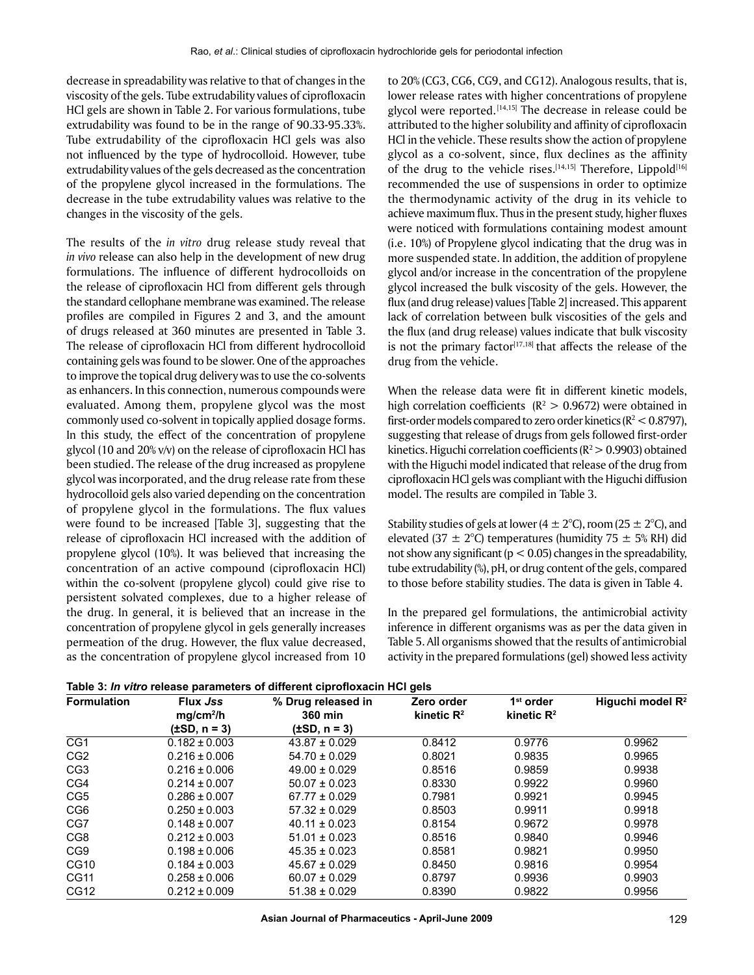decrease in spreadability was relative to that of changes in the viscosity of the gels. Tube extrudability values of ciprofloxacin HCl gels are shown in Table 2. For various formulations, tube extrudability was found to be in the range of 90.33-95.33%. Tube extrudability of the ciprofloxacin HCl gels was also not influenced by the type of hydrocolloid. However, tube extrudability values of the gels decreased as the concentration of the propylene glycol increased in the formulations. The decrease in the tube extrudability values was relative to the changes in the viscosity of the gels.

The results of the *in vitro* drug release study reveal that *in vivo* release can also help in the development of new drug formulations. The influence of different hydrocolloids on the release of ciprofloxacin HCl from different gels through the standard cellophane membrane was examined. The release profiles are compiled in Figures 2 and 3, and the amount of drugs released at 360 minutes are presented in Table 3. The release of ciprofloxacin HCl from different hydrocolloid containing gels was found to be slower. One of the approaches to improve the topical drug delivery was to use the co-solvents as enhancers. In this connection, numerous compounds were evaluated. Among them, propylene glycol was the most commonly used co-solvent in topically applied dosage forms. In this study, the effect of the concentration of propylene glycol (10 and 20% v/v) on the release of ciprofloxacin HCl has been studied. The release of the drug increased as propylene glycol was incorporated, and the drug release rate from these hydrocolloid gels also varied depending on the concentration of propylene glycol in the formulations. The flux values were found to be increased [Table 3], suggesting that the release of ciprofloxacin HCl increased with the addition of propylene glycol (10%). It was believed that increasing the concentration of an active compound (ciprofloxacin HCl) within the co-solvent (propylene glycol) could give rise to persistent solvated complexes, due to a higher release of the drug. In general, it is believed that an increase in the concentration of propylene glycol in gels generally increases permeation of the drug. However, the flux value decreased, as the concentration of propylene glycol increased from 10

to 20% (CG3, CG6, CG9, and CG12). Analogous results, that is, lower release rates with higher concentrations of propylene glycol were reported.  $[14,15]$  The decrease in release could be attributed to the higher solubility and affinity of ciprofloxacin HCl in the vehicle. These results show the action of propylene glycol as a co-solvent, since, flux declines as the affinity of the drug to the vehicle rises.<sup>[14,15]</sup> Therefore, Lippold<sup>[16]</sup> recommended the use of suspensions in order to optimize the thermodynamic activity of the drug in its vehicle to achieve maximum flux. Thus in the present study, higher fluxes were noticed with formulations containing modest amount (i.e. 10%) of Propylene glycol indicating that the drug was in more suspended state. In addition, the addition of propylene glycol and/or increase in the concentration of the propylene glycol increased the bulk viscosity of the gels. However, the flux (and drug release) values [Table 2] increased. This apparent lack of correlation between bulk viscosities of the gels and the flux (and drug release) values indicate that bulk viscosity is not the primary factor $[17,18]$  that affects the release of the drug from the vehicle.

When the release data were fit in different kinetic models, high correlation coefficients ( $R^2 > 0.9672$ ) were obtained in first-order models compared to zero order kinetics ( $R^2$  < 0.8797), suggesting that release of drugs from gels followed first-order kinetics. Higuchi correlation coefficients ( $R^2 > 0.9903$ ) obtained with the Higuchi model indicated that release of the drug from ciprofloxacin HCl gels was compliant with the Higuchi diffusion model. The results are compiled in Table 3.

Stability studies of gels at lower (4  $\pm$  2°C), room (25  $\pm$  2°C), and elevated (37  $\pm$  2°C) temperatures (humidity 75  $\pm$  5% RH) did not show any significant ( $p < 0.05$ ) changes in the spreadability, tube extrudability (%), pH, or drug content of the gels, compared to those before stability studies. The data is given in Table 4.

In the prepared gel formulations, the antimicrobial activity inference in different organisms was as per the data given in Table 5. All organisms showed that the results of antimicrobial activity in the prepared formulations (gel) showed less activity

|                    | Table 3: In vitro release parameters of different ciprofloxacin HCI gels |                               |                                      |                                       |                              |  |  |  |
|--------------------|--------------------------------------------------------------------------|-------------------------------|--------------------------------------|---------------------------------------|------------------------------|--|--|--|
| <b>Formulation</b> | Flux Jss<br>$mq/cm^2/h$                                                  | % Drug released in<br>360 min | Zero order<br>kinetic $\mathbb{R}^2$ | $1st$ order<br>kinetic $\mathbb{R}^2$ | Higuchi model $\mathbb{R}^2$ |  |  |  |
|                    | $(\pm SD, n = 3)$                                                        | (±SD, n = 3)                  |                                      |                                       |                              |  |  |  |
| CG <sub>1</sub>    | $0.182 \pm 0.003$                                                        | $43.87 \pm 0.029$             | 0.8412                               | 0.9776                                | 0.9962                       |  |  |  |
| CG <sub>2</sub>    | $0.216 \pm 0.006$                                                        | $54.70 \pm 0.029$             | 0.8021                               | 0.9835                                | 0.9965                       |  |  |  |
| CG <sub>3</sub>    | $0.216 \pm 0.006$                                                        | $49.00 \pm 0.029$             | 0.8516                               | 0.9859                                | 0.9938                       |  |  |  |
| CG4                | $0.214 \pm 0.007$                                                        | $50.07 \pm 0.023$             | 0.8330                               | 0.9922                                | 0.9960                       |  |  |  |
| CG5                | $0.286 \pm 0.007$                                                        | $67.77 \pm 0.029$             | 0.7981                               | 0.9921                                | 0.9945                       |  |  |  |
| CG <sub>6</sub>    | $0.250 \pm 0.003$                                                        | $57.32 \pm 0.029$             | 0.8503                               | 0.9911                                | 0.9918                       |  |  |  |
| CG7                | $0.148 \pm 0.007$                                                        | $40.11 \pm 0.023$             | 0.8154                               | 0.9672                                | 0.9978                       |  |  |  |
| CG8                | $0.212 \pm 0.003$                                                        | $51.01 \pm 0.023$             | 0.8516                               | 0.9840                                | 0.9946                       |  |  |  |
| CG <sub>9</sub>    | $0.198 \pm 0.006$                                                        | $45.35 \pm 0.023$             | 0.8581                               | 0.9821                                | 0.9950                       |  |  |  |
| CG10               | $0.184 \pm 0.003$                                                        | $45.67 \pm 0.029$             | 0.8450                               | 0.9816                                | 0.9954                       |  |  |  |
| CG11               | $0.258 \pm 0.006$                                                        | $60.07 \pm 0.029$             | 0.8797                               | 0.9936                                | 0.9903                       |  |  |  |
| CG12               | $0.212 \pm 0.009$                                                        | $51.38 \pm 0.029$             | 0.8390                               | 0.9822                                | 0.9956                       |  |  |  |

**Table 3:** *in vitro* **release parameters of different ciprofloxacin HCl gels**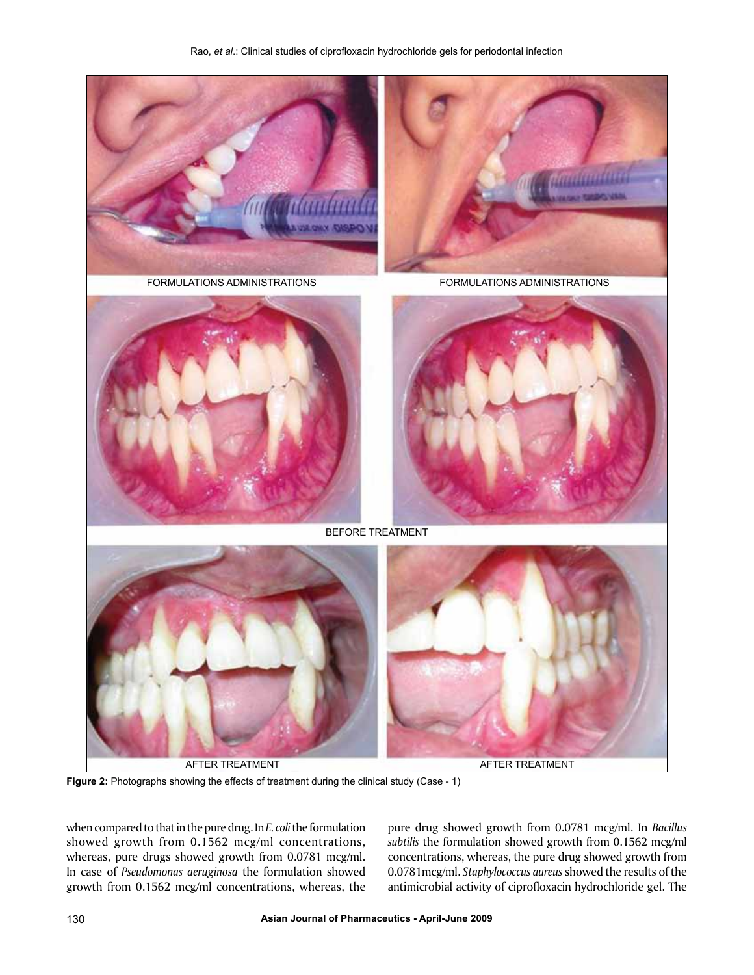Rao, *et al*.: Clinical studies of ciprofloxacin hydrochloride gels for periodontal infection



Figure 2: Photographs showing the effects of treatment during the clinical study (Case - 1)

when compared to that in the pure drug. In *E. coli* the formulation showed growth from 0.1562 mcg/ml concentrations, whereas, pure drugs showed growth from 0.0781 mcg/ml. In case of *Pseudomonas aeruginosa* the formulation showed growth from 0.1562 mcg/ml concentrations, whereas, the

pure drug showed growth from 0.0781 mcg/ml. In *Bacillus subtilis* the formulation showed growth from 0.1562 mcg/ml concentrations, whereas, the pure drug showed growth from 0.0781mcg/ml. *Staphylococcus aureus*showed the results of the antimicrobial activity of ciprofloxacin hydrochloride gel. The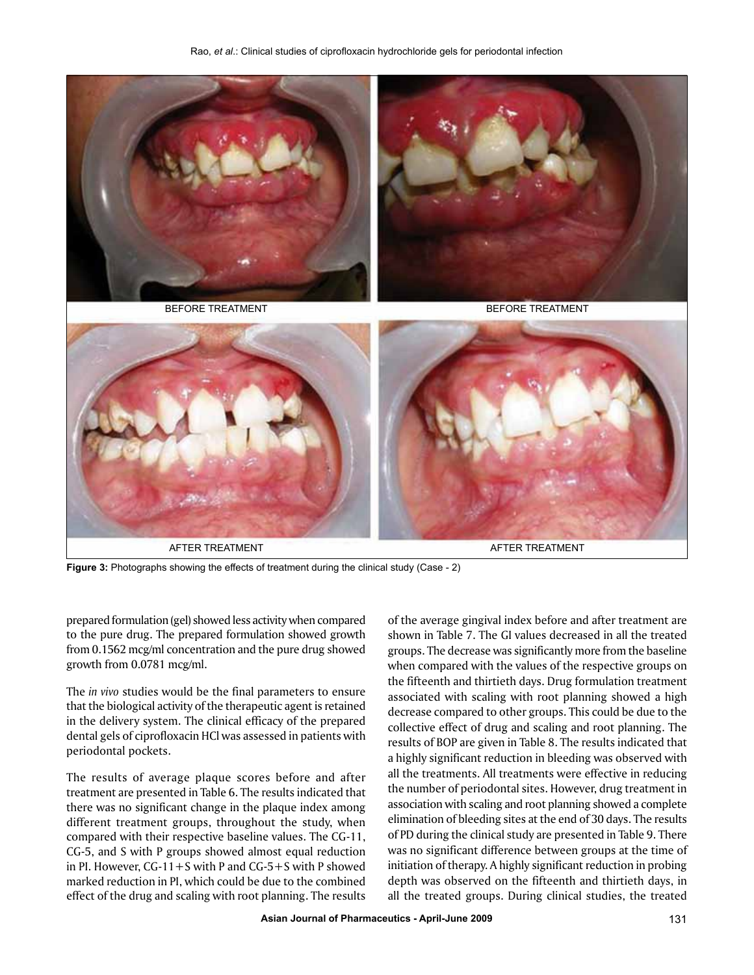

**Figure 3:** Photographs showing the effects of treatment during the clinical study (Case - 2)

prepared formulation (gel) showed less activity when compared to the pure drug. The prepared formulation showed growth from 0.1562 mcg/ml concentration and the pure drug showed growth from 0.0781 mcg/ml.

The *in vivo* studies would be the final parameters to ensure that the biological activity of the therapeutic agent is retained in the delivery system. The clinical efficacy of the prepared dental gels of ciprofloxacin HCl was assessed in patients with periodontal pockets.

The results of average plaque scores before and after treatment are presented in Table 6. The results indicated that there was no significant change in the plaque index among different treatment groups, throughout the study, when compared with their respective baseline values. The CG-11, CG-5, and S with P groups showed almost equal reduction in PI. However, CG-11+S with P and CG-5+S with P showed marked reduction in PI, which could be due to the combined effect of the drug and scaling with root planning. The results

of the average gingival index before and after treatment are shown in Table 7. The GI values decreased in all the treated groups. The decrease was significantly more from the baseline when compared with the values of the respective groups on the fifteenth and thirtieth days. Drug formulation treatment associated with scaling with root planning showed a high decrease compared to other groups. This could be due to the collective effect of drug and scaling and root planning. The results of BOP are given in Table 8. The results indicated that a highly significant reduction in bleeding was observed with all the treatments. All treatments were effective in reducing the number of periodontal sites. However, drug treatment in association with scaling and root planning showed a complete elimination of bleeding sites at the end of 30 days. The results of PD during the clinical study are presented in Table 9. There was no significant difference between groups at the time of initiation of therapy. A highly significant reduction in probing depth was observed on the fifteenth and thirtieth days, in all the treated groups. During clinical studies, the treated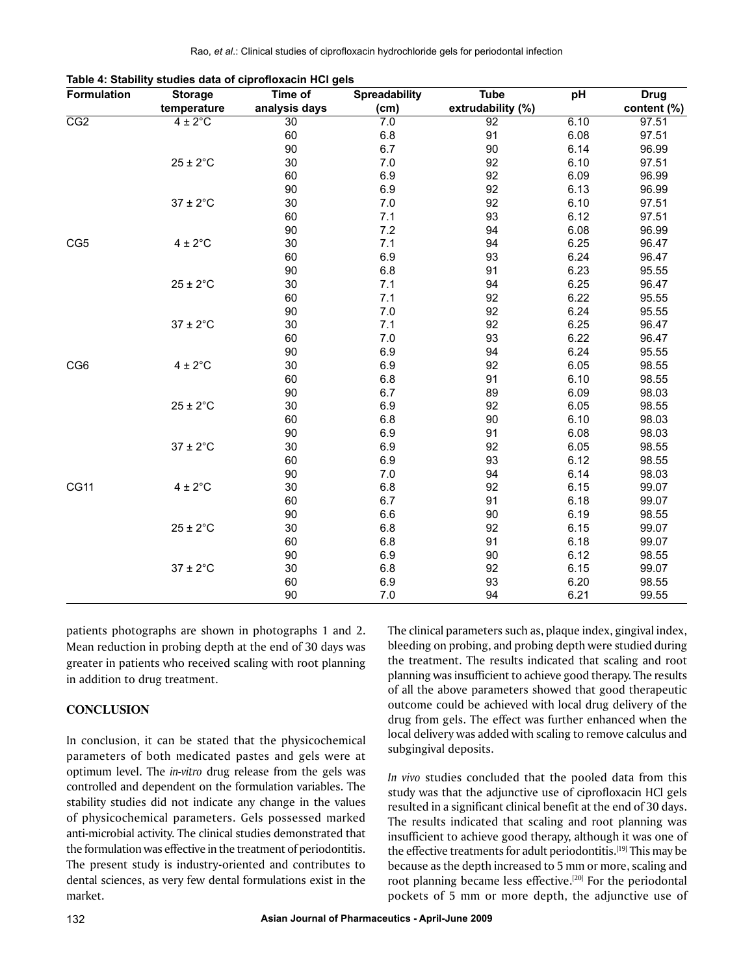| <b>Formulation</b> | <b>Storage</b>             | Time of         | <b>Spreadability</b> | <b>Tube</b>       | pH   | <b>Drug</b> |
|--------------------|----------------------------|-----------------|----------------------|-------------------|------|-------------|
|                    | temperature                | analysis days   | (cm)                 | extrudability (%) |      | content (%) |
| $\overline{CG2}$   | $4 \pm 2$ °C               | $\overline{30}$ | 7.0                  | $\overline{92}$   | 6.10 | 97.51       |
|                    |                            | 60              | 6.8                  | 91                | 6.08 | 97.51       |
|                    |                            | 90              | 6.7                  | 90                | 6.14 | 96.99       |
|                    | $25\pm2^{\circ}\textrm{C}$ | 30              | 7.0                  | 92                | 6.10 | 97.51       |
|                    |                            | 60              | 6.9                  | 92                | 6.09 | 96.99       |
|                    |                            | 90              | 6.9                  | 92                | 6.13 | 96.99       |
|                    | $37 \pm 2^{\circ}$ C       | 30              | 7.0                  | 92                | 6.10 | 97.51       |
|                    |                            | 60              | 7.1                  | 93                | 6.12 | 97.51       |
|                    |                            | 90              | 7.2                  | 94                | 6.08 | 96.99       |
| CG5                | $4 \pm 2^{\circ}$ C        | 30              | 7.1                  | 94                | 6.25 | 96.47       |
|                    |                            | 60              | 6.9                  | 93                | 6.24 | 96.47       |
|                    |                            | 90              | $6.8\,$              | 91                | 6.23 | 95.55       |
|                    | $25 \pm 2^{\circ}$ C       | 30              | 7.1                  | 94                | 6.25 | 96.47       |
|                    |                            | 60              | 7.1                  | 92                | 6.22 | 95.55       |
|                    |                            | 90              | 7.0                  | 92                | 6.24 | 95.55       |
|                    | $37 \pm 2^{\circ}$ C       | 30              | 7.1                  | 92                | 6.25 | 96.47       |
|                    |                            | 60              | 7.0                  | 93                | 6.22 | 96.47       |
|                    |                            | 90              | 6.9                  | 94                | 6.24 | 95.55       |
| CG <sub>6</sub>    | $4 \pm 2^{\circ}$ C        | 30              | 6.9                  | 92                | 6.05 | 98.55       |
|                    |                            | 60              | 6.8                  | 91                | 6.10 | 98.55       |
|                    |                            | 90              | 6.7                  | 89                | 6.09 | 98.03       |
|                    | $25 \pm 2^{\circ}$ C       | 30              | 6.9                  | 92                | 6.05 | 98.55       |
|                    |                            | 60              | 6.8                  | 90                | 6.10 | 98.03       |
|                    |                            | 90              | 6.9                  | 91                | 6.08 | 98.03       |
|                    | $37 \pm 2^{\circ}$ C       | 30              | 6.9                  | 92                | 6.05 | 98.55       |
|                    |                            | 60              | 6.9                  | 93                | 6.12 | 98.55       |
|                    |                            | 90              | 7.0                  | 94                | 6.14 | 98.03       |
| <b>CG11</b>        | $4 \pm 2^{\circ}$ C        | 30              | 6.8                  | 92                | 6.15 | 99.07       |
|                    |                            | 60              | 6.7                  | 91                | 6.18 | 99.07       |
|                    |                            | 90              | 6.6                  | 90                | 6.19 | 98.55       |
|                    | $25 \pm 2^{\circ}$ C       | 30              | 6.8                  | 92                | 6.15 | 99.07       |
|                    |                            | 60              | 6.8                  | 91                | 6.18 | 99.07       |
|                    |                            | 90              | 6.9                  | 90                | 6.12 | 98.55       |
|                    | $37 \pm 2^{\circ}$ C       | 30              | 6.8                  | 92                | 6.15 | 99.07       |
|                    |                            | 60              | 6.9                  | 93                | 6.20 | 98.55       |
|                    |                            | 90              | 7.0                  | 94                | 6.21 | 99.55       |

patients photographs are shown in photographs 1 and 2. Mean reduction in probing depth at the end of 30 days was greater in patients who received scaling with root planning in addition to drug treatment.

# **CONCLUSION**

In conclusion, it can be stated that the physicochemical parameters of both medicated pastes and gels were at optimum level. The *in-vitro* drug release from the gels was controlled and dependent on the formulation variables. The stability studies did not indicate any change in the values of physicochemical parameters. Gels possessed marked anti-microbial activity. The clinical studies demonstrated that the formulation was effective in the treatment of periodontitis. The present study is industry-oriented and contributes to dental sciences, as very few dental formulations exist in the market.

The clinical parameters such as, plaque index, gingival index, bleeding on probing, and probing depth were studied during the treatment. The results indicated that scaling and root planning was insufficient to achieve good therapy. The results of all the above parameters showed that good therapeutic outcome could be achieved with local drug delivery of the drug from gels. The effect was further enhanced when the local delivery was added with scaling to remove calculus and subgingival deposits.

*In vivo* studies concluded that the pooled data from this study was that the adjunctive use of ciprofloxacin HCl gels resulted in a significant clinical benefit at the end of 30 days. The results indicated that scaling and root planning was insufficient to achieve good therapy, although it was one of the effective treatments for adult periodontitis.<sup>[19]</sup> This may be because as the depth increased to 5 mm or more, scaling and root planning became less effective.<sup>[20]</sup> For the periodontal pockets of 5 mm or more depth, the adjunctive use of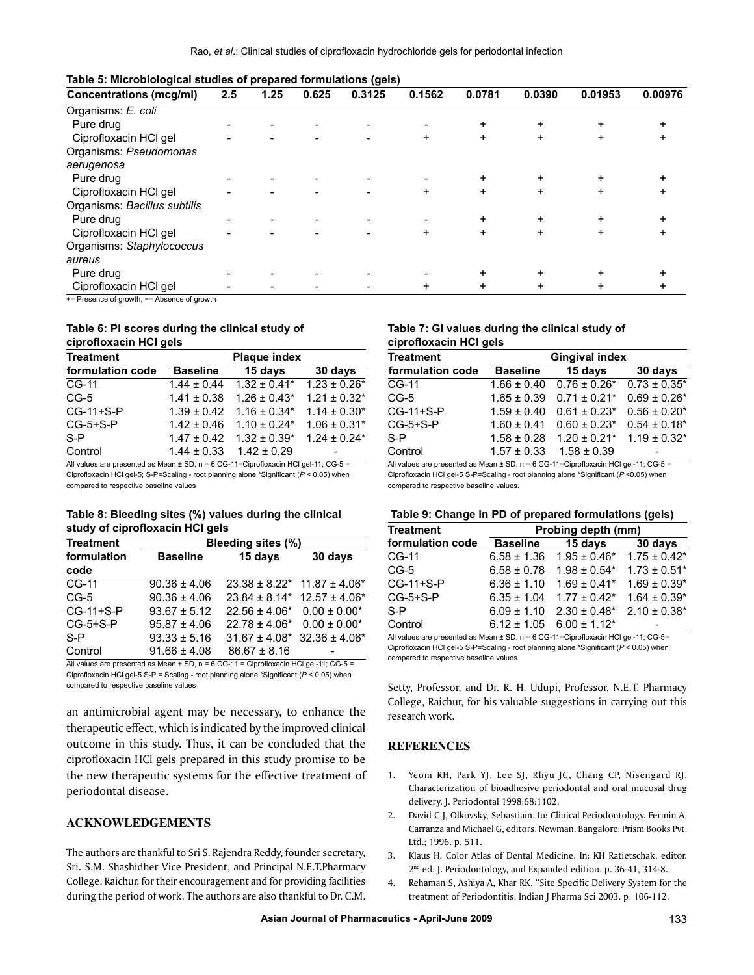| Table 5: Microbiological studies of prepared formulations (gels) |  |  |  |
|------------------------------------------------------------------|--|--|--|
|------------------------------------------------------------------|--|--|--|

| <b>Concentrations (mcg/ml)</b> | 2.5 | 1.25 | 0.625 | 0.3125 | 0.1562    | 0.0781    | 0.0390    | 0.01953   | 0.00976 |
|--------------------------------|-----|------|-------|--------|-----------|-----------|-----------|-----------|---------|
| Organisms: E. coli             |     |      |       |        |           |           |           |           |         |
| Pure drug                      |     |      |       |        |           |           | +         | $\ddot{}$ |         |
| Ciprofloxacin HCl gel          |     |      |       |        | $\ddot{}$ | $\ddot{}$ | $\ddot{}$ | $\ddot{}$ |         |
| Organisms: Pseudomonas         |     |      |       |        |           |           |           |           |         |
| aerugenosa                     |     |      |       |        |           |           |           |           |         |
| Pure drug                      |     |      |       |        |           |           |           | $\ddot{}$ |         |
| Ciprofloxacin HCl gel          |     |      |       |        | $\ddot{}$ | +         | ÷         | $\ddot{}$ |         |
| Organisms: Bacillus subtilis   |     |      |       |        |           |           |           |           |         |
| Pure drug                      |     |      |       |        |           | $\ddot{}$ |           | $\ddot{}$ |         |
| Ciprofloxacin HCl gel          |     |      |       |        | $\ddot{}$ | $\ddot{}$ | $\ddot{}$ | $\ddot{}$ |         |
| Organisms: Staphylococcus      |     |      |       |        |           |           |           |           |         |
| aureus                         |     |      |       |        |           |           |           |           |         |
| Pure drug                      |     |      |       |        |           |           | +         | $\ddot{}$ |         |
| Ciprofloxacin HCl gel          |     |      |       |        | $\ddot{}$ | +         | +         | $\ddot{}$ |         |

+= Presence of growth, −= Absence of growth

## **Table 6: PI scores during the clinical study of ciprofloxacin HCl gels**

| <b>Treatment</b> | <b>Plaque index</b> |                                 |                   |  |  |  |
|------------------|---------------------|---------------------------------|-------------------|--|--|--|
| formulation code | <b>Baseline</b>     | 15 days                         | 30 days           |  |  |  |
| CG-11            | $1.44 \pm 0.44$     | $1.32 \pm 0.41$ *               | $1.23 \pm 0.26*$  |  |  |  |
| $CG-5$           | $1.41 \pm 0.38$     | $1.26 \pm 0.43^*$               | $1.21 \pm 0.32^*$ |  |  |  |
| CG-11+S-P        | $1.39 \pm 0.42$     | $1.16 \pm 0.34*$                | $1.14 \pm 0.30*$  |  |  |  |
| $CG-5+S-P$       | $1.42 \pm 0.46$     | $1.10 \pm 0.24*$                | $1.06 \pm 0.31*$  |  |  |  |
| $S-P$            | $1.47 \pm 0.42$     | $1.32 \pm 0.39^*$               | $1.24 \pm 0.24*$  |  |  |  |
| Control          |                     | $1.44 \pm 0.33$ $1.42 \pm 0.29$ |                   |  |  |  |

All values are presented as Mean  $\pm$  SD, n = 6 CG-11=Ciprofloxacin HCl gel-11; CG-5 = Ciprofloxacin HCl gel-5; S-P=Scaling - root planning alone \*Significant (*P* < 0.05) when compared to respective baseline values

## **Table 8: Bleeding sites (%) values during the clinical study of ciprofloxacin HCl gels**

| <b>Treatment</b>    | Bleeding sites (%)                                                                      |                                                 |                   |  |  |  |  |
|---------------------|-----------------------------------------------------------------------------------------|-------------------------------------------------|-------------------|--|--|--|--|
| formulation<br>code | <b>Baseline</b>                                                                         | 15 days                                         | 30 days           |  |  |  |  |
| CG-11               | $90.36 \pm 4.06$                                                                        | $23.38 \pm 8.22^*$ 11.87 $\pm 4.06^*$           |                   |  |  |  |  |
| $CG-5$              | $90.36 \pm 4.06$                                                                        | $23.84 \pm 8.14^*$ 12.57 $\pm 4.06^*$           |                   |  |  |  |  |
| CG-11+S-P           | $93.67 \pm 5.12$                                                                        | $22.56 \pm 4.06^*$ 0.00 $\pm$ 0.00 <sup>*</sup> |                   |  |  |  |  |
| $CG-5+S-P$          | $95.87 \pm 4.06$                                                                        | $22.78 \pm 4.06*$                               | $0.00 \pm 0.00*$  |  |  |  |  |
| $S-P$               | $93.33 \pm 5.16$                                                                        | $31.67 \pm 4.08^*$                              | $32.36 \pm 4.06*$ |  |  |  |  |
| Control             | $91.66 \pm 4.08$                                                                        | $86.67 \pm 8.16$                                |                   |  |  |  |  |
|                     | All values are presented as Mean + SD, $n = 6$ CG-11 = Ciprofloxacin HCl gel-11; CG-5 = |                                                 |                   |  |  |  |  |

Ciprofloxacin HCl gel-5 S-P = Scaling - root planning alone \*Significant (*P* < 0.05) when compared to respective baseline values

an antimicrobial agent may be necessary, to enhance the therapeutic effect, which is indicated by the improved clinical outcome in this study. Thus, it can be concluded that the ciprofloxacin HCl gels prepared in this study promise to be the new therapeutic systems for the effective treatment of periodontal disease.

# **ACKNOWLEDGeMENTS**

The authors are thankful to Sri S. Rajendra Reddy, founder secretary, Sri. S.M. Shashidher Vice President, and Principal N.E.T.Pharmacy College, Raichur, for their encouragement and for providing facilities during the period of work. The authors are also thankful to Dr. C.M.

## **Table 7: GI values during the clinical study of ciprofloxacin HCl gels**

| <b>Treatment</b> | <b>Gingival index</b> |                                                     |                   |  |  |  |
|------------------|-----------------------|-----------------------------------------------------|-------------------|--|--|--|
| formulation code | <b>Baseline</b>       | 15 days                                             | 30 days           |  |  |  |
| CG-11            |                       | $1.66 \pm 0.40$ $0.76 \pm 0.26^*$ $0.73 \pm 0.35^*$ |                   |  |  |  |
| $CG-5$           | $1.65 \pm 0.39$       | $0.71 \pm 0.21$ <sup>*</sup>                        | $0.69 \pm 0.26*$  |  |  |  |
| $CG-11+S-P$      | $1.59 \pm 0.40$       | $0.61 \pm 0.23$ *                                   | $0.56 \pm 0.20*$  |  |  |  |
| $CG-5+S-P$       | $1.60 \pm 0.41$       | $0.60 \pm 0.23$ *                                   | $0.54 \pm 0.18^*$ |  |  |  |
| $S-P$            | $1.58 \pm 0.28$       | $1.20 \pm 0.21^*$ 1.19 $\pm$ 0.32*                  |                   |  |  |  |
| Control          | $1.57 \pm 0.33$       | $1.58 \pm 0.39$                                     |                   |  |  |  |

All values are presented as Mean  $\pm$  SD, n = 6 CG-11=Ciprofloxacin HCl gel-11; CG-5 = Ciprofloxacin HCl gel-5 S-P=Scaling - root planning alone \*Significant (*P* <0.05) when compared to respective baseline values.

## **Table 9: Change in PD of prepared formulations (gels)**

| Treatment        | Probing depth (mm) |                                                     |                   |
|------------------|--------------------|-----------------------------------------------------|-------------------|
| formulation code | <b>Baseline</b>    | 15 days                                             | 30 days           |
| CG-11            |                    | $6.58 \pm 1.36$ $1.95 \pm 0.46^*$ $1.75 \pm 0.42^*$ |                   |
| CG-5             | $6.58 \pm 0.78$    | $1.98 \pm 0.54*$                                    | $1.73 \pm 0.51$ * |
| CG-11+S-P        | $6.36 \pm 1.10$    | $1.69 \pm 0.41$ *                                   | $1.69 \pm 0.39*$  |
| CG-5+S-P         | $6.35 \pm 1.04$    | $1.77 \pm 0.42^*$                                   | $1.64 \pm 0.39*$  |
| S-P              | $6.09 \pm 1.10$    | $2.30 \pm 0.48^*$                                   | $2.10 \pm 0.38^*$ |
| Control          |                    | $6.12 \pm 1.05$ $6.00 \pm 1.12^*$                   |                   |

All values are presented as Mean  $\pm$  SD, n = 6 CG-11=Ciprofloxacin HCl gel-11; CG-5= Ciprofloxacin HCl gel-5 S-P=Scaling - root planning alone \*Significant (*P* < 0.05) when compared to respective baseline values

Setty, Professor, and Dr. R. H. Udupi, Professor, N.E.T. Pharmacy College, Raichur, for his valuable suggestions in carrying out this research work.

#### **REFERENCES**

- 1. Yeom RH, Park YJ, Lee SJ, Rhyu JC, Chang CP, Nisengard RJ. Characterization of bioadhesive periodontal and oral mucosal drug delivery. J. Periodontal 1998;68:1102.
- 2. David C J, Olkovsky, Sebastiam. In: Clinical Periodontology. Fermin A, Carranza and Michael G, editors. Newman. Bangalore: Prism Books Pvt. Ltd.; 1996. p. 511.
- 3. Klaus H. Color Atlas of Dental Medicine. In: KH Ratietschak, editor. 2nd ed. J. Periodontology, and Expanded edition. p. 36-41, 314-8.
- 4. Rehaman S, Ashiya A, Khar RK. "Site Specific Delivery System for the treatment of Periodontitis. Indian J Pharma Sci 2003. p. 106-112.